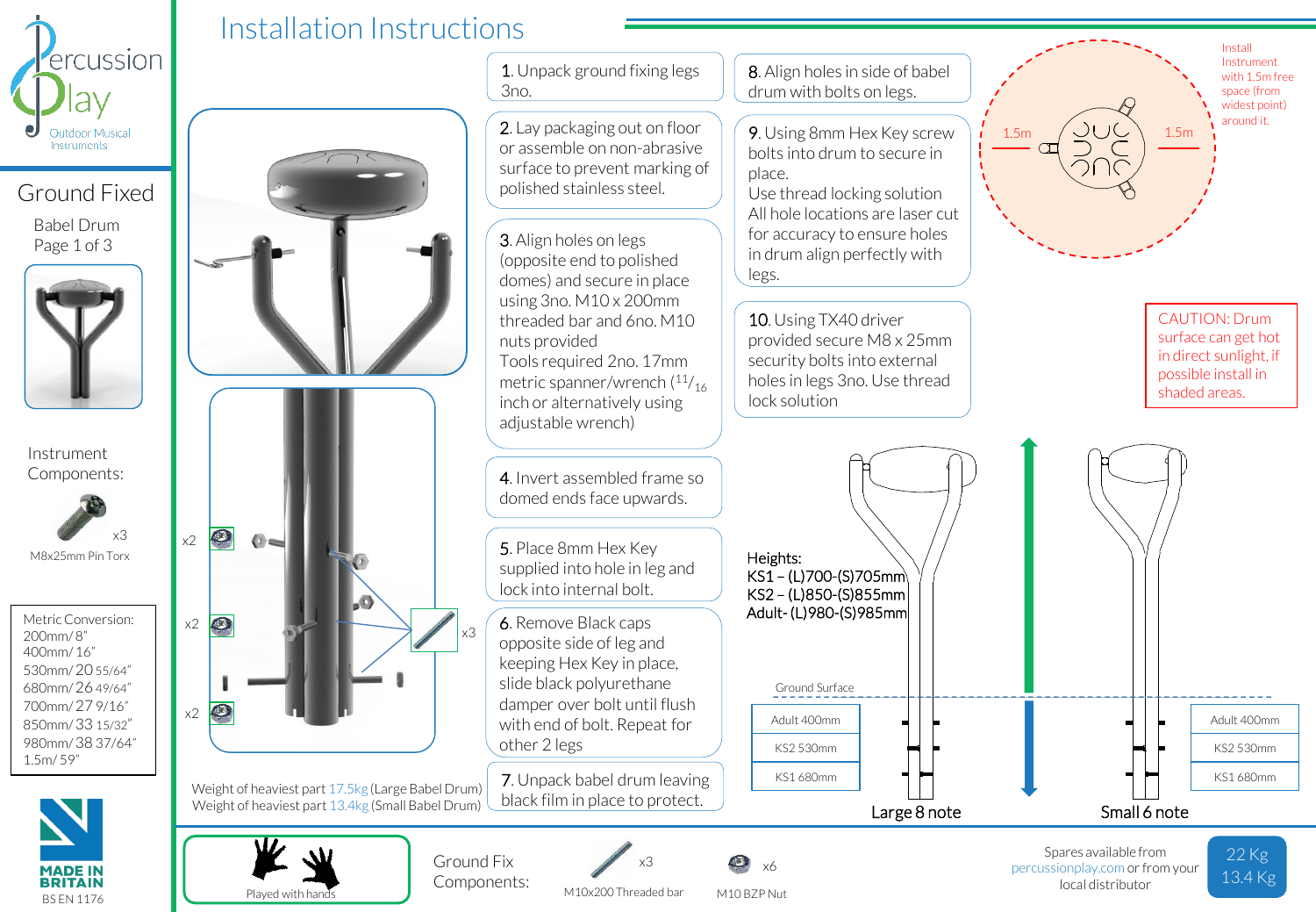

Ground Fixed

Babel Drum Page 1 of 3



Instrument Components:



Metric Conversion: 200mm/ 8" 400mm/ 16" 530mm/ 20 55/64" 680mm/ 26 49/64" 700mm/ 27 9/16" 850mm/ 33 15/32" 980mm/ 38 37/64" 1.5m/ 59"



Played with hands



M10 BZP Nut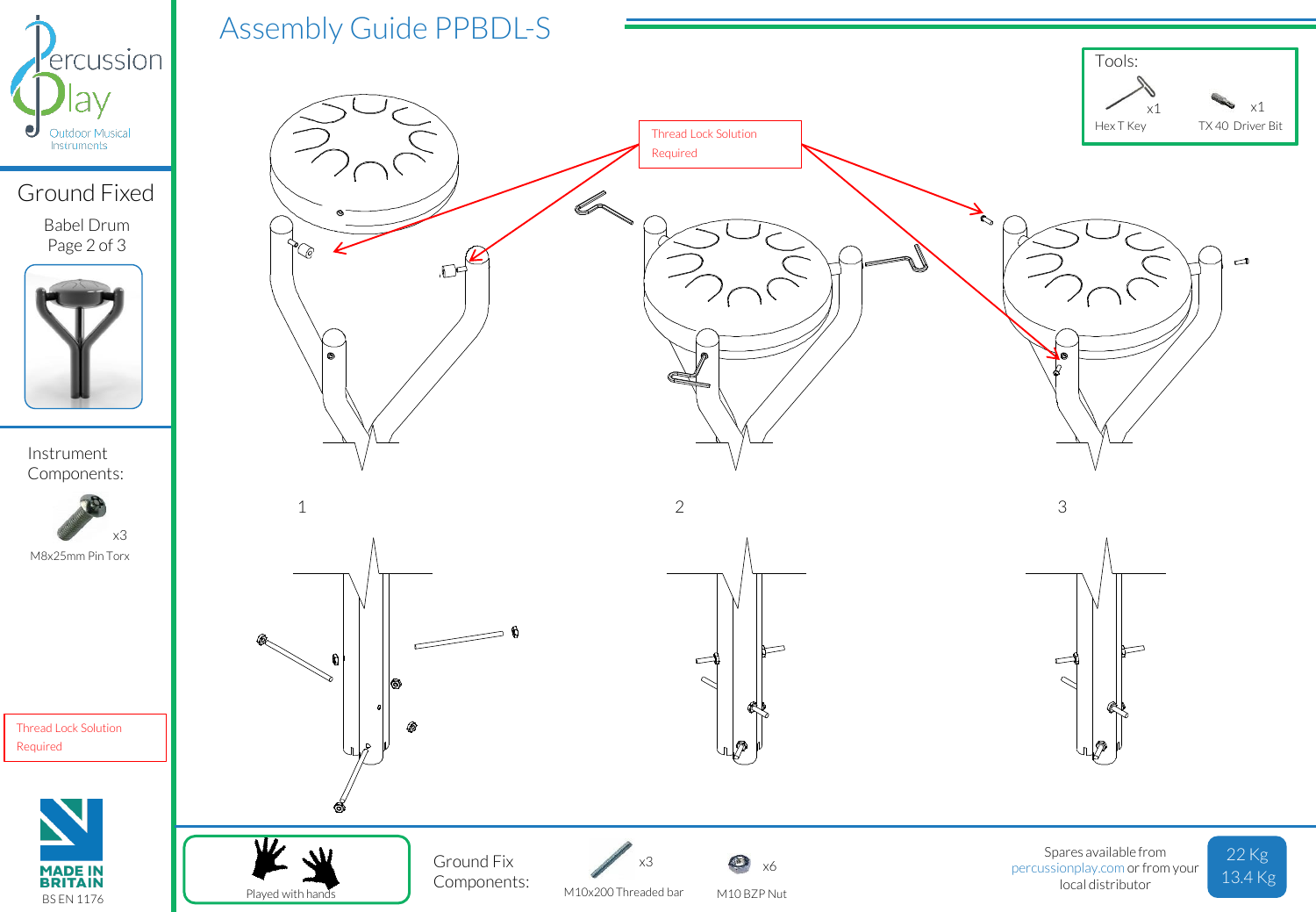

## Ground Fixed

Babel Drum Page 2 of 3



Instrument Components:



Thread Lock Solution Required